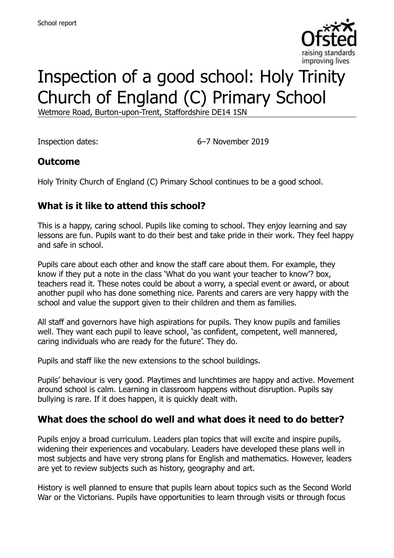

# Inspection of a good school: Holy Trinity Church of England (C) Primary School

Wetmore Road, Burton-upon-Trent, Staffordshire DE14 1SN

Inspection dates: 6–7 November 2019

### **Outcome**

Holy Trinity Church of England (C) Primary School continues to be a good school.

# **What is it like to attend this school?**

This is a happy, caring school. Pupils like coming to school. They enjoy learning and say lessons are fun. Pupils want to do their best and take pride in their work. They feel happy and safe in school.

Pupils care about each other and know the staff care about them. For example, they know if they put a note in the class 'What do you want your teacher to know'? box, teachers read it. These notes could be about a worry, a special event or award, or about another pupil who has done something nice. Parents and carers are very happy with the school and value the support given to their children and them as families.

All staff and governors have high aspirations for pupils. They know pupils and families well. They want each pupil to leave school, 'as confident, competent, well mannered, caring individuals who are ready for the future'. They do.

Pupils and staff like the new extensions to the school buildings.

Pupils' behaviour is very good. Playtimes and lunchtimes are happy and active. Movement around school is calm. Learning in classroom happens without disruption. Pupils say bullying is rare. If it does happen, it is quickly dealt with.

### **What does the school do well and what does it need to do better?**

Pupils enjoy a broad curriculum. Leaders plan topics that will excite and inspire pupils, widening their experiences and vocabulary. Leaders have developed these plans well in most subjects and have very strong plans for English and mathematics. However, leaders are yet to review subjects such as history, geography and art.

History is well planned to ensure that pupils learn about topics such as the Second World War or the Victorians. Pupils have opportunities to learn through visits or through focus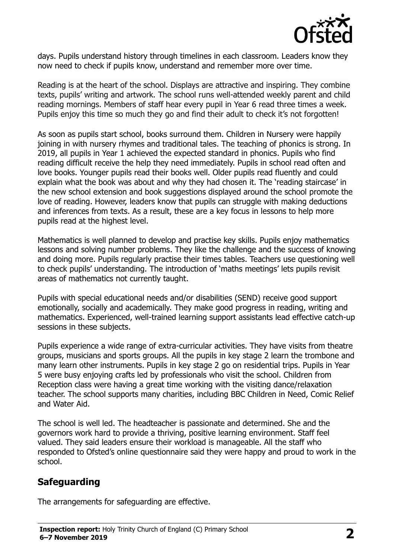

days. Pupils understand history through timelines in each classroom. Leaders know they now need to check if pupils know, understand and remember more over time.

Reading is at the heart of the school. Displays are attractive and inspiring. They combine texts, pupils' writing and artwork. The school runs well-attended weekly parent and child reading mornings. Members of staff hear every pupil in Year 6 read three times a week. Pupils enjoy this time so much they go and find their adult to check it's not forgotten!

As soon as pupils start school, books surround them. Children in Nursery were happily joining in with nursery rhymes and traditional tales. The teaching of phonics is strong. In 2019, all pupils in Year 1 achieved the expected standard in phonics. Pupils who find reading difficult receive the help they need immediately. Pupils in school read often and love books. Younger pupils read their books well. Older pupils read fluently and could explain what the book was about and why they had chosen it. The 'reading staircase' in the new school extension and book suggestions displayed around the school promote the love of reading. However, leaders know that pupils can struggle with making deductions and inferences from texts. As a result, these are a key focus in lessons to help more pupils read at the highest level.

Mathematics is well planned to develop and practise key skills. Pupils enjoy mathematics lessons and solving number problems. They like the challenge and the success of knowing and doing more. Pupils regularly practise their times tables. Teachers use questioning well to check pupils' understanding. The introduction of 'maths meetings' lets pupils revisit areas of mathematics not currently taught.

Pupils with special educational needs and/or disabilities (SEND) receive good support emotionally, socially and academically. They make good progress in reading, writing and mathematics. Experienced, well-trained learning support assistants lead effective catch-up sessions in these subjects.

Pupils experience a wide range of extra-curricular activities. They have visits from theatre groups, musicians and sports groups. All the pupils in key stage 2 learn the trombone and many learn other instruments. Pupils in key stage 2 go on residential trips. Pupils in Year 5 were busy enjoying crafts led by professionals who visit the school. Children from Reception class were having a great time working with the visiting dance/relaxation teacher. The school supports many charities, including BBC Children in Need, Comic Relief and Water Aid.

The school is well led. The headteacher is passionate and determined. She and the governors work hard to provide a thriving, positive learning environment. Staff feel valued. They said leaders ensure their workload is manageable. All the staff who responded to Ofsted's online questionnaire said they were happy and proud to work in the school.

### **Safeguarding**

The arrangements for safeguarding are effective.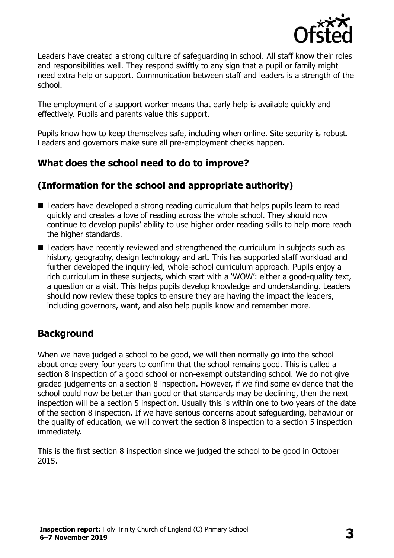

Leaders have created a strong culture of safeguarding in school. All staff know their roles and responsibilities well. They respond swiftly to any sign that a pupil or family might need extra help or support. Communication between staff and leaders is a strength of the school.

The employment of a support worker means that early help is available quickly and effectively. Pupils and parents value this support.

Pupils know how to keep themselves safe, including when online. Site security is robust. Leaders and governors make sure all pre-employment checks happen.

## **What does the school need to do to improve?**

# **(Information for the school and appropriate authority)**

- Leaders have developed a strong reading curriculum that helps pupils learn to read quickly and creates a love of reading across the whole school. They should now continue to develop pupils' ability to use higher order reading skills to help more reach the higher standards.
- Leaders have recently reviewed and strengthened the curriculum in subjects such as history, geography, design technology and art. This has supported staff workload and further developed the inquiry-led, whole-school curriculum approach. Pupils enjoy a rich curriculum in these subjects, which start with a 'WOW': either a good-quality text, a question or a visit. This helps pupils develop knowledge and understanding. Leaders should now review these topics to ensure they are having the impact the leaders, including governors, want, and also help pupils know and remember more.

### **Background**

When we have judged a school to be good, we will then normally go into the school about once every four years to confirm that the school remains good. This is called a section 8 inspection of a good school or non-exempt outstanding school. We do not give graded judgements on a section 8 inspection. However, if we find some evidence that the school could now be better than good or that standards may be declining, then the next inspection will be a section 5 inspection. Usually this is within one to two years of the date of the section 8 inspection. If we have serious concerns about safeguarding, behaviour or the quality of education, we will convert the section 8 inspection to a section 5 inspection immediately.

This is the first section 8 inspection since we judged the school to be good in October 2015.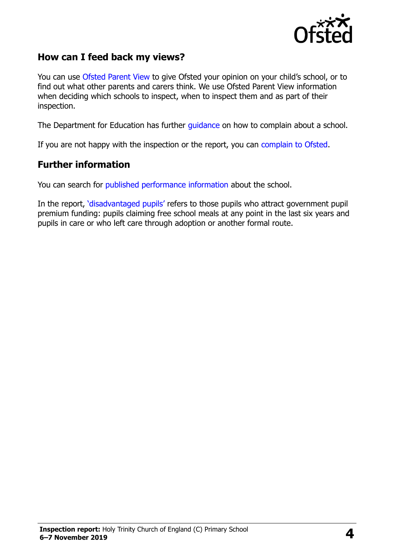

### **How can I feed back my views?**

You can use [Ofsted Parent View](https://parentview.ofsted.gov.uk/) to give Ofsted your opinion on your child's school, or to find out what other parents and carers think. We use Ofsted Parent View information when deciding which schools to inspect, when to inspect them and as part of their inspection.

The Department for Education has further [guidance](http://www.gov.uk/complain-about-school) on how to complain about a school.

If you are not happy with the inspection or the report, you can [complain to Ofsted.](https://www.gov.uk/complain-ofsted-report)

#### **Further information**

You can search for [published performance information](http://www.compare-school-performance.service.gov.uk/) about the school.

In the report, '[disadvantaged pupils](http://www.gov.uk/guidance/pupil-premium-information-for-schools-and-alternative-provision-settings)' refers to those pupils who attract government pupil premium funding: pupils claiming free school meals at any point in the last six years and pupils in care or who left care through adoption or another formal route.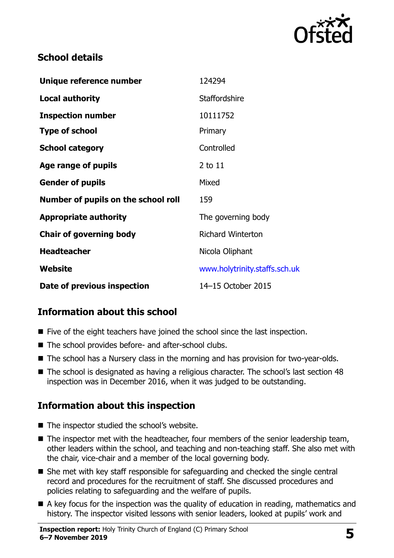

# **School details**

| Unique reference number             | 124294                        |
|-------------------------------------|-------------------------------|
| <b>Local authority</b>              | <b>Staffordshire</b>          |
| <b>Inspection number</b>            | 10111752                      |
| <b>Type of school</b>               | Primary                       |
| <b>School category</b>              | Controlled                    |
| Age range of pupils                 | 2 to 11                       |
| <b>Gender of pupils</b>             | Mixed                         |
| Number of pupils on the school roll | 159                           |
| <b>Appropriate authority</b>        | The governing body            |
| <b>Chair of governing body</b>      | <b>Richard Winterton</b>      |
| <b>Headteacher</b>                  | Nicola Oliphant               |
| Website                             | www.holytrinity.staffs.sch.uk |
| Date of previous inspection         | 14-15 October 2015            |

# **Information about this school**

- Five of the eight teachers have joined the school since the last inspection.
- The school provides before- and after-school clubs.
- The school has a Nursery class in the morning and has provision for two-year-olds.
- The school is designated as having a religious character. The school's last section 48 inspection was in December 2016, when it was judged to be outstanding.

# **Information about this inspection**

- The inspector studied the school's website.
- The inspector met with the headteacher, four members of the senior leadership team, other leaders within the school, and teaching and non-teaching staff. She also met with the chair, vice-chair and a member of the local governing body.
- She met with key staff responsible for safeguarding and checked the single central record and procedures for the recruitment of staff. She discussed procedures and policies relating to safeguarding and the welfare of pupils.
- A key focus for the inspection was the quality of education in reading, mathematics and history. The inspector visited lessons with senior leaders, looked at pupils' work and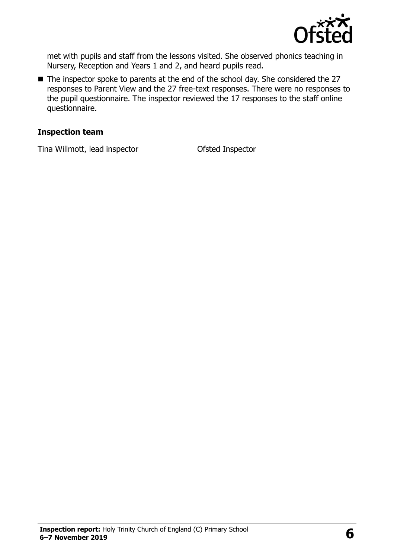

met with pupils and staff from the lessons visited. She observed phonics teaching in Nursery, Reception and Years 1 and 2, and heard pupils read.

■ The inspector spoke to parents at the end of the school day. She considered the 27 responses to Parent View and the 27 free-text responses. There were no responses to the pupil questionnaire. The inspector reviewed the 17 responses to the staff online questionnaire.

#### **Inspection team**

Tina Willmott, lead inspector Ofsted Inspector